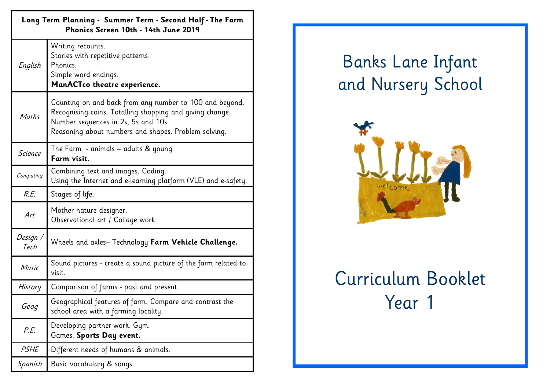| Long Term Planning - Summer Term - Second Half - The Farm<br>Phonics Screen 10th - 14th June 2019 |                                                                                                                                                                                                                    |  |
|---------------------------------------------------------------------------------------------------|--------------------------------------------------------------------------------------------------------------------------------------------------------------------------------------------------------------------|--|
| English                                                                                           | Writing recounts.<br>Stories with repetitive patterns.<br>Phonics.<br>Simple word endings.<br>ManACTco theatre experience.                                                                                         |  |
| Maths                                                                                             | Counting on and back from any number to 100 and beyond.<br>Recognising coins. Totalling shopping and giving change.<br>Number sequences in 2s, 5s and 10s.<br>Reasoning about numbers and shapes. Problem solving. |  |
| <b>Science</b>                                                                                    | The Farm - animals $-$ adults & young.<br>Farm visit.                                                                                                                                                              |  |
| Computing                                                                                         | Combining text and images. Coding.<br>Using the Internet and e-learning platform (VLE) and e-safety.                                                                                                               |  |
| R.E.                                                                                              | Stages of life.                                                                                                                                                                                                    |  |
| Art                                                                                               | Mother nature designer.<br>Observational art / Collage work.                                                                                                                                                       |  |
| Design /<br>Tech                                                                                  | Wheels and axles-Technology Farm Vehicle Challenge.                                                                                                                                                                |  |
| Music                                                                                             | Sound pictures - create a sound picture of the farm related to<br>visit.                                                                                                                                           |  |
| History                                                                                           | Comparison of farms - past and present.                                                                                                                                                                            |  |
| Geog                                                                                              | Geographical features of farm. Compare and contrast the<br>school area with a farming locality.                                                                                                                    |  |
| P.E.                                                                                              | Developing partner-work. Gym.<br>Games. Sports Day event.                                                                                                                                                          |  |
| PSHE                                                                                              | Different needs of humans & animals.                                                                                                                                                                               |  |
| Spanish                                                                                           | Basic vocabulary & songs.                                                                                                                                                                                          |  |

## Banks Lane Infant and Nursery School



## Curriculum Booklet Year 1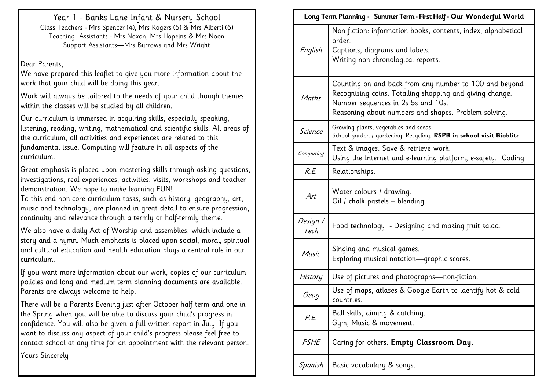Year 1 - Banks Lane Infant & Nursery School Class Teachers - Mrs Spencer (4), Mrs Rogers (5) & Mrs Alberti (6) Teaching Assistants - Mrs Noxon, Mrs Hopkins & Mrs Noon Support Assistants—Mrs Burrows and Mrs Wright

Dear Parents,

We have prepared this leaflet to give you more information about the work that your child will be doing this year.

Work will always be tailored to the needs of your child though themes within the classes will be studied by all children.

Our curriculum is immersed in acquiring skills, especially speaking, listening, reading, writing, mathematical and scientific skills. All areas of the curriculum, all activities and experiences are related to this fundamental issue. Computing will feature in all aspects of the curriculum.

Great emphasis is placed upon mastering skills through asking questions, investigations, real experiences, activities, visits, workshops and teacher demonstration. We hope to make learning FUN!

To this end non-core curriculum tasks, such as history, geography, art, music and technology, are planned in great detail to ensure progression, continuity and relevance through a termly or half-termly theme.

We also have a daily Act of Worship and assemblies, which include a story and a hymn. Much emphasis is placed upon social, moral, spiritual and cultural education and health education plays a central role in our curriculum.

If you want more information about our work, copies of our curriculum policies and long and medium term planning documents are available. Parents are always welcome to help.

There will be a Parents Evening just after October half term and one in the Spring when you will be able to discuss your child's progress in confidence. You will also be given a full written report in July. If you want to discuss any aspect of your child's progress please feel free to contact school at any time for an appointment with the relevant person.

Yours Sincerely

|                  | Long Term Planning - Summer Term - First Half - Our Wonderful World                                                                                                                                              |  |
|------------------|------------------------------------------------------------------------------------------------------------------------------------------------------------------------------------------------------------------|--|
| English          | Non fiction: information books, contents, index, alphabetical<br>order.<br>Captions, diagrams and labels.<br>Writing non-chronological reports.                                                                  |  |
| Maths            | Counting on and back from any number to 100 and beyond<br>Recognising coins. Totalling shopping and giving change.<br>Number sequences in 2s 5s and 10s.<br>Reasoning about numbers and shapes. Problem solving. |  |
| <b>Science</b>   | Growing plants, vegetables and seeds.<br>School garden / gardening. Recycling. RSPB in school visit-Bioblitz                                                                                                     |  |
| Computing        | Text & images. Save & retrieve work.<br>Using the Internet and e-learning platform, e-safety. Coding.                                                                                                            |  |
| R.E.             | Relationships.                                                                                                                                                                                                   |  |
| Art              | Water colours / drawing.<br>Oil / chalk pastels - blending.                                                                                                                                                      |  |
| Design /<br>Tech | Food technology - Designing and making fruit salad.                                                                                                                                                              |  |
| Music            | Singing and musical games.<br>Exploring musical notation-graphic scores.                                                                                                                                         |  |
| History          | Use of pictures and photographs-non-fiction.                                                                                                                                                                     |  |
| Geog             | Use of maps, atlases & Google Earth to identify hot & cold<br>countries.                                                                                                                                         |  |
| P.E.             | Ball skills, aiming & catching.<br>Gym, Music & movement.                                                                                                                                                        |  |
| <b>PSHE</b>      | Caring for others. Empty Classroom Day.                                                                                                                                                                          |  |
| Spanish          | Basic vocabulary & songs.                                                                                                                                                                                        |  |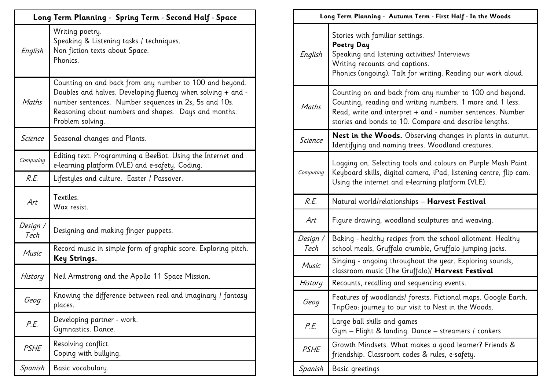|                  | Long Term Planning - Spring Term - Second Half - Space                                                                                                                                                                                                      |  |
|------------------|-------------------------------------------------------------------------------------------------------------------------------------------------------------------------------------------------------------------------------------------------------------|--|
| English          | Writing poetry.<br>Speaking & Listening tasks / techniques.<br>Non fiction texts about Space.<br>Phonics.                                                                                                                                                   |  |
| Maths            | Counting on and back from any number to 100 and beyond.<br>Doubles and halves. Developing fluency when solving + and -<br>number sentences. Number sequences in 2s, 5s and 10s.<br>Reasoning about numbers and shapes. Days and months.<br>Problem solving. |  |
| Science          | Seasonal changes and Plants.                                                                                                                                                                                                                                |  |
| Computing        | Editing text. Programming a BeeBot. Using the Internet and<br>e-learning platform (VLE) and e-safety. Coding.                                                                                                                                               |  |
| R.E.             | Lifestyles and culture. Easter / Passover.                                                                                                                                                                                                                  |  |
| Art              | Textiles.<br>Wax resist.                                                                                                                                                                                                                                    |  |
| Design /<br>Tech | Designing and making finger puppets.                                                                                                                                                                                                                        |  |
| Music            | Record music in simple form of graphic score. Exploring pitch.<br>Key Strings.                                                                                                                                                                              |  |
| History          | Neil Armstrong and the Apollo 11 Space Mission.                                                                                                                                                                                                             |  |
| Geog             | Knowing the difference between real and imaginary / fantasy<br>places.                                                                                                                                                                                      |  |
| P.E.             | Developing partner - work.<br>Gymnastics. Dance.                                                                                                                                                                                                            |  |
| <b>PSHE</b>      | Resolving conflict.<br>Coping with bullying.                                                                                                                                                                                                                |  |
| Spanish          | Basic vocabulary.                                                                                                                                                                                                                                           |  |

|                  | Long Term Planning - Autumn Term - First Half - In the Woods                                                                                                                                                                                 |  |
|------------------|----------------------------------------------------------------------------------------------------------------------------------------------------------------------------------------------------------------------------------------------|--|
| English          | Stories with familiar settings.<br>Poetry Day<br>Speaking and listening activities/ Interviews<br>Writing recounts and captions.<br>Phonics (ongoing). Talk for writing. Reading our work aloud.                                             |  |
| Maths            | Counting on and back from any number to 100 and beyond.<br>Counting, reading and writing numbers. 1 more and 1 less.<br>Read, write and interpret + and - number sentences. Number<br>stories and bonds to 10. Compare and describe lengths. |  |
| <b>Science</b>   | <b>Nest in the Woods.</b> Observing changes in plants in autumn.<br>Identifying and naming trees. Woodland creatures.                                                                                                                        |  |
| Computing        | Logging on. Selecting tools and colours on Purple Mash Paint.<br>Keyboard skills, digital camera, iPad, listening centre, flip cam.<br>Using the internet and e-learning platform (VLE).                                                     |  |
|                  |                                                                                                                                                                                                                                              |  |
| R.E.             | Natural world/relationships - Harvest Festival                                                                                                                                                                                               |  |
| Art              | Figure drawing, woodland sculptures and weaving.                                                                                                                                                                                             |  |
| Design /<br>Tech | Baking - healthy recipes from the school allotment. Healthy<br>school meals, Gruffalo crumble, Gruffalo jumping jacks.                                                                                                                       |  |
| Music            | Singing - ongoing throughout the year. Exploring sounds,<br>classroom music (The Gruffalo)/ Harvest Festival                                                                                                                                 |  |
| History          | Recounts, recalling and sequencing events.                                                                                                                                                                                                   |  |
| Geog             | Features of woodlands/ forests. Fictional maps. Google Earth.<br>TripGeo: journey to our visit to Nest in the Woods.                                                                                                                         |  |
| P.E.             | Large ball skills and games<br>Gym - Flight & landing. Dance - streamers / conkers                                                                                                                                                           |  |
| <b>PSHE</b>      | Growth Mindsets. What makes a good learner? Friends &<br>friendship. Classroom codes & rules, e-safety.                                                                                                                                      |  |
| Spanish          | Basic greetings                                                                                                                                                                                                                              |  |